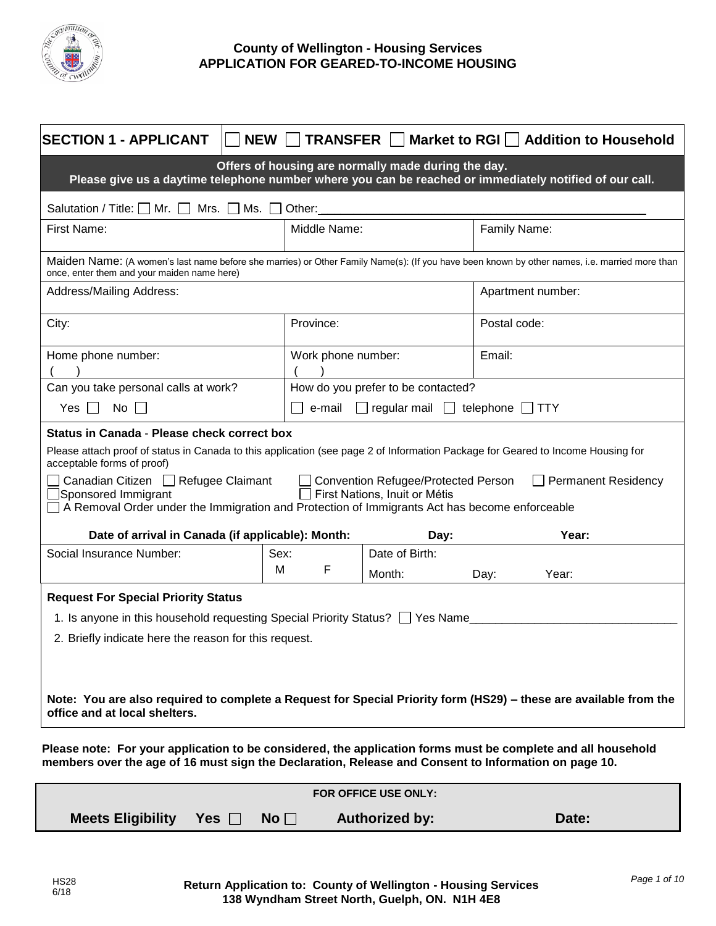

# **County of Wellington - Housing Services APPLICATION FOR GEARED-TO-INCOME HOUSING**

| <b>SECTION 1 - APPLICANT</b><br>NEW                                                                                                                                                                                                                                      | <b>TRANSFER</b>    |                                    | Market to RGI   Addition to Household |  |
|--------------------------------------------------------------------------------------------------------------------------------------------------------------------------------------------------------------------------------------------------------------------------|--------------------|------------------------------------|---------------------------------------|--|
| Offers of housing are normally made during the day.<br>Please give us a daytime telephone number where you can be reached or immediately notified of our call.                                                                                                           |                    |                                    |                                       |  |
| Salutation / Title: $\Box$ Mr. $\Box$<br>Mrs. $\Box$<br>Ms. $\Box$                                                                                                                                                                                                       | Other:             |                                    |                                       |  |
| First Name:                                                                                                                                                                                                                                                              | Middle Name:       |                                    | Family Name:                          |  |
| Maiden Name: (A women's last name before she marries) or Other Family Name(s): (If you have been known by other names, i.e. married more than<br>once, enter them and your maiden name here)                                                                             |                    |                                    |                                       |  |
| Address/Mailing Address:                                                                                                                                                                                                                                                 |                    |                                    | Apartment number:                     |  |
| City:                                                                                                                                                                                                                                                                    | Province:          |                                    | Postal code:                          |  |
| Home phone number:                                                                                                                                                                                                                                                       | Work phone number: |                                    | Email:                                |  |
| Can you take personal calls at work?                                                                                                                                                                                                                                     |                    | How do you prefer to be contacted? |                                       |  |
| $No$ $\Box$<br>Yes II                                                                                                                                                                                                                                                    | e-mail             | $\Box$ regular mail $\Box$         | telephone [<br><b>TTY</b>             |  |
| Status in Canada - Please check correct box<br>Please attach proof of status in Canada to this application (see page 2 of Information Package for Geared to Income Housing for<br>acceptable forms of proof)                                                             |                    |                                    |                                       |  |
| Canadian Citizen □ Refugee Claimant<br>$\Box$ Permanent Residency<br><b>Convention Refugee/Protected Person</b><br>Sponsored Immigrant<br>First Nations, Inuit or Métis<br>A Removal Order under the Immigration and Protection of Immigrants Act has become enforceable |                    |                                    |                                       |  |
| Date of arrival in Canada (if applicable): Month:                                                                                                                                                                                                                        |                    | Day:                               | Year:                                 |  |
| Social Insurance Number:                                                                                                                                                                                                                                                 | Sex:<br>M<br>F     | Date of Birth:<br>Month:           | Year:<br>Day:                         |  |
| <b>Request For Special Priority Status</b>                                                                                                                                                                                                                               |                    |                                    |                                       |  |
| 1. Is anyone in this household requesting Special Priority Status? The Name                                                                                                                                                                                              |                    |                                    |                                       |  |
| 2. Briefly indicate here the reason for this request.                                                                                                                                                                                                                    |                    |                                    |                                       |  |
|                                                                                                                                                                                                                                                                          |                    |                                    |                                       |  |
| Note: You are also required to complete a Request for Special Priority form (HS29) – these are available from the<br>office and at local shelters.                                                                                                                       |                    |                                    |                                       |  |
| Please note: For your application to be considered, the application forms must be complete and all household<br>members over the age of 16 must sign the Declaration, Release and Consent to Information on page 10.                                                     |                    |                                    |                                       |  |

| FOR OFFICE USE ONLY:         |  |           |                       |       |  |
|------------------------------|--|-----------|-----------------------|-------|--|
| Meets Eligibility Yes $\Box$ |  | No $\Box$ | <b>Authorized by:</b> | Date: |  |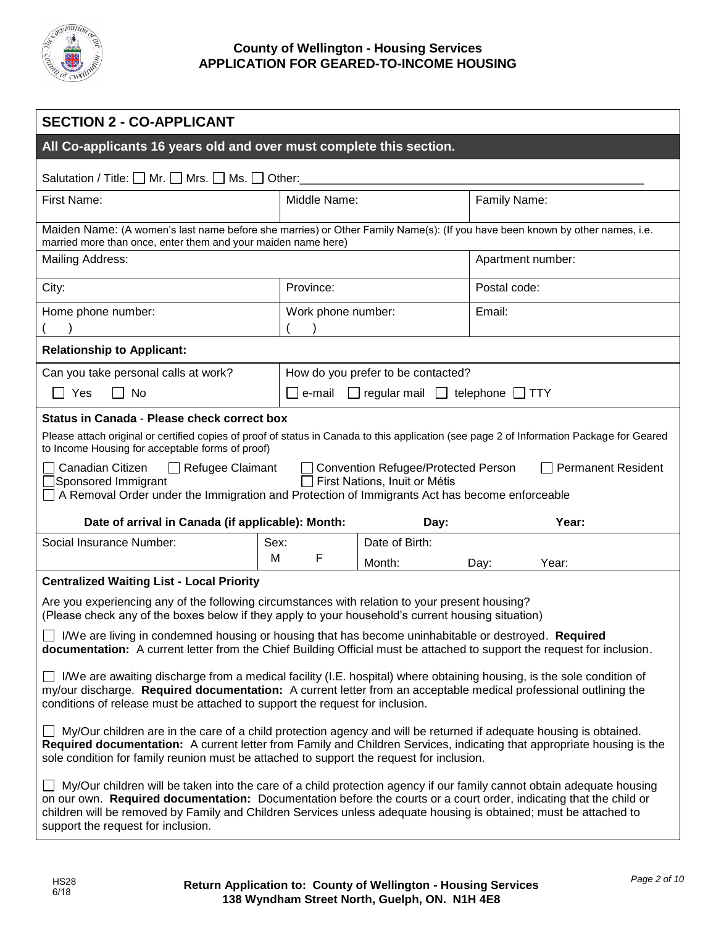

| <b>SECTION 2 - CO-APPLICANT</b>                                                                                                                                                                                                                                                                                                                                                                                                                                                  |                    |                                                 |                   |       |
|----------------------------------------------------------------------------------------------------------------------------------------------------------------------------------------------------------------------------------------------------------------------------------------------------------------------------------------------------------------------------------------------------------------------------------------------------------------------------------|--------------------|-------------------------------------------------|-------------------|-------|
| All Co-applicants 16 years old and over must complete this section.                                                                                                                                                                                                                                                                                                                                                                                                              |                    |                                                 |                   |       |
| Salutation / Title: $\Box$ Mr. $\Box$ Mrs. $\Box$ Ms. $\Box$ Other:                                                                                                                                                                                                                                                                                                                                                                                                              |                    |                                                 |                   |       |
| First Name:                                                                                                                                                                                                                                                                                                                                                                                                                                                                      | Middle Name:       |                                                 | Family Name:      |       |
| Maiden Name: (A women's last name before she marries) or Other Family Name(s): (If you have been known by other names, i.e.<br>married more than once, enter them and your maiden name here)                                                                                                                                                                                                                                                                                     |                    |                                                 |                   |       |
| Mailing Address:                                                                                                                                                                                                                                                                                                                                                                                                                                                                 |                    |                                                 | Apartment number: |       |
| City:                                                                                                                                                                                                                                                                                                                                                                                                                                                                            | Province:          |                                                 | Postal code:      |       |
| Home phone number:                                                                                                                                                                                                                                                                                                                                                                                                                                                               | Work phone number: |                                                 | Email:            |       |
| <b>Relationship to Applicant:</b>                                                                                                                                                                                                                                                                                                                                                                                                                                                |                    |                                                 |                   |       |
| Can you take personal calls at work?                                                                                                                                                                                                                                                                                                                                                                                                                                             |                    | How do you prefer to be contacted?              |                   |       |
| Yes<br>No                                                                                                                                                                                                                                                                                                                                                                                                                                                                        | e-mail             | $\Box$ regular mail $\Box$ telephone $\Box$ TTY |                   |       |
| Please attach original or certified copies of proof of status in Canada to this application (see page 2 of Information Package for Geared<br>to Income Housing for acceptable forms of proof)<br>Canadian Citizen<br>$\Box$ Refugee Claimant<br>Convention Refugee/Protected Person<br><b>Permanent Resident</b><br>First Nations, Inuit or Métis<br>Sponsored Immigrant<br>$\Box$ A Removal Order under the Immigration and Protection of Immigrants Act has become enforceable |                    |                                                 |                   |       |
| Date of arrival in Canada (if applicable): Month:<br>Year:<br>Day:<br>Social Insurance Number:<br>Date of Birth:<br>Sex:                                                                                                                                                                                                                                                                                                                                                         |                    |                                                 |                   |       |
|                                                                                                                                                                                                                                                                                                                                                                                                                                                                                  | M<br>F             | Month:                                          | Day:              | Year: |
| <b>Centralized Waiting List - Local Priority</b>                                                                                                                                                                                                                                                                                                                                                                                                                                 |                    |                                                 |                   |       |
| Are you experiencing any of the following circumstances with relation to your present housing?<br>(Please check any of the boxes below if they apply to your household's current housing situation)                                                                                                                                                                                                                                                                              |                    |                                                 |                   |       |
| IWe are living in condemned housing or housing that has become uninhabitable or destroyed. Required<br>documentation: A current letter from the Chief Building Official must be attached to support the request for inclusion.                                                                                                                                                                                                                                                   |                    |                                                 |                   |       |
| $\Box$ I/We are awaiting discharge from a medical facility (I.E. hospital) where obtaining housing, is the sole condition of<br>my/our discharge. Required documentation: A current letter from an acceptable medical professional outlining the<br>conditions of release must be attached to support the request for inclusion.                                                                                                                                                 |                    |                                                 |                   |       |
| $\Box$ My/Our children are in the care of a child protection agency and will be returned if adequate housing is obtained.<br>Required documentation: A current letter from Family and Children Services, indicating that appropriate housing is the<br>sole condition for family reunion must be attached to support the request for inclusion.                                                                                                                                  |                    |                                                 |                   |       |
| □ My/Our children will be taken into the care of a child protection agency if our family cannot obtain adequate housing<br>on our own. Required documentation: Documentation before the courts or a court order, indicating that the child or<br>children will be removed by Family and Children Services unless adequate housing is obtained; must be attached to<br>support the request for inclusion.                                                                         |                    |                                                 |                   |       |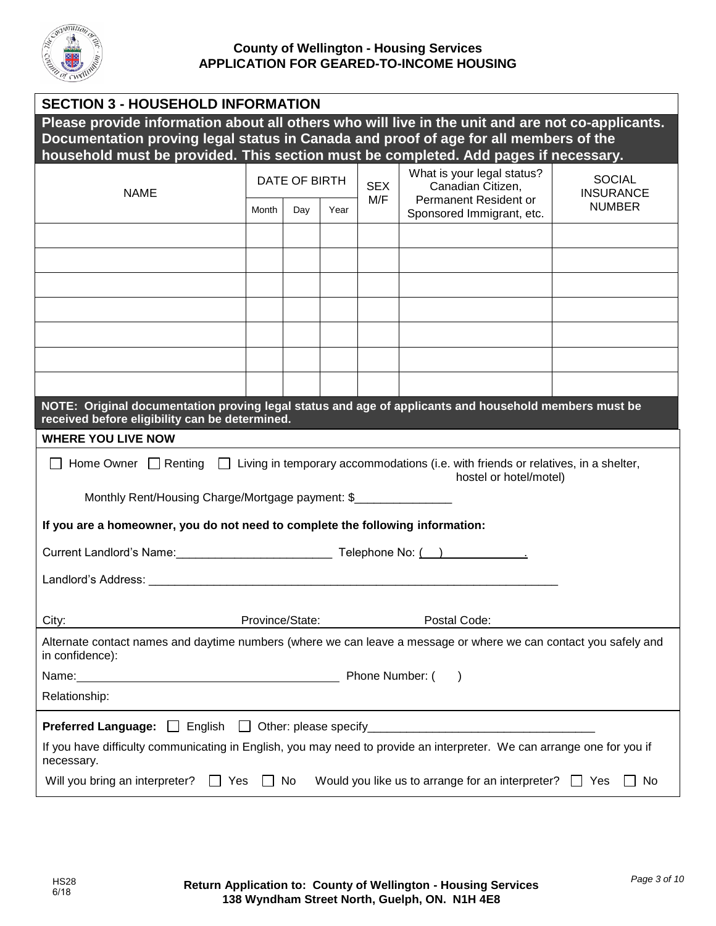

| <b>SECTION 3 - HOUSEHOLD INFORMATION</b>                                                                                                                                                                            |               |     |            |                                                 |                                                         |               |
|---------------------------------------------------------------------------------------------------------------------------------------------------------------------------------------------------------------------|---------------|-----|------------|-------------------------------------------------|---------------------------------------------------------|---------------|
| Please provide information about all others who will live in the unit and are not co-applicants.                                                                                                                    |               |     |            |                                                 |                                                         |               |
| Documentation proving legal status in Canada and proof of age for all members of the                                                                                                                                |               |     |            |                                                 |                                                         |               |
| household must be provided. This section must be completed. Add pages if necessary.                                                                                                                                 |               |     |            |                                                 |                                                         |               |
| <b>NAME</b>                                                                                                                                                                                                         | DATE OF BIRTH |     | <b>SEX</b> | What is your legal status?<br>Canadian Citizen, | <b>SOCIAL</b><br><b>INSURANCE</b>                       |               |
|                                                                                                                                                                                                                     | Month         | Day | Year       | M/F                                             | Permanent Resident or<br>Sponsored Immigrant, etc.      | <b>NUMBER</b> |
|                                                                                                                                                                                                                     |               |     |            |                                                 |                                                         |               |
|                                                                                                                                                                                                                     |               |     |            |                                                 |                                                         |               |
|                                                                                                                                                                                                                     |               |     |            |                                                 |                                                         |               |
|                                                                                                                                                                                                                     |               |     |            |                                                 |                                                         |               |
|                                                                                                                                                                                                                     |               |     |            |                                                 |                                                         |               |
|                                                                                                                                                                                                                     |               |     |            |                                                 |                                                         |               |
|                                                                                                                                                                                                                     |               |     |            |                                                 |                                                         |               |
| NOTE: Original documentation proving legal status and age of applicants and household members must be<br>received before eligibility can be determined.                                                             |               |     |            |                                                 |                                                         |               |
| <b>WHERE YOU LIVE NOW</b>                                                                                                                                                                                           |               |     |            |                                                 |                                                         |               |
| Home Owner $\Box$ Renting $\Box$ Living in temporary accommodations (i.e. with friends or relatives, in a shelter,<br>hostel or hotel/motel)<br>Monthly Rent/Housing Charge/Mortgage payment: \$___________________ |               |     |            |                                                 |                                                         |               |
| If you are a homeowner, you do not need to complete the following information:                                                                                                                                      |               |     |            |                                                 |                                                         |               |
|                                                                                                                                                                                                                     |               |     |            |                                                 |                                                         |               |
|                                                                                                                                                                                                                     |               |     |            |                                                 |                                                         |               |
|                                                                                                                                                                                                                     |               |     |            |                                                 |                                                         |               |
| Province/State:<br>City:                                                                                                                                                                                            |               |     |            |                                                 | Postal Code:                                            |               |
| Alternate contact names and daytime numbers (where we can leave a message or where we can contact you safely and<br>in confidence):                                                                                 |               |     |            |                                                 |                                                         |               |
| Phone Number: (                                                                                                                                                                                                     |               |     |            |                                                 |                                                         |               |
| Relationship:                                                                                                                                                                                                       |               |     |            |                                                 |                                                         |               |
|                                                                                                                                                                                                                     |               |     |            |                                                 |                                                         |               |
| If you have difficulty communicating in English, you may need to provide an interpreter. We can arrange one for you if<br>necessary.                                                                                |               |     |            |                                                 |                                                         |               |
| Will you bring an interpreter?<br>$\Box$ Yes                                                                                                                                                                        |               | No  |            |                                                 | Would you like us to arrange for an interpreter? $\Box$ | No<br>Yes     |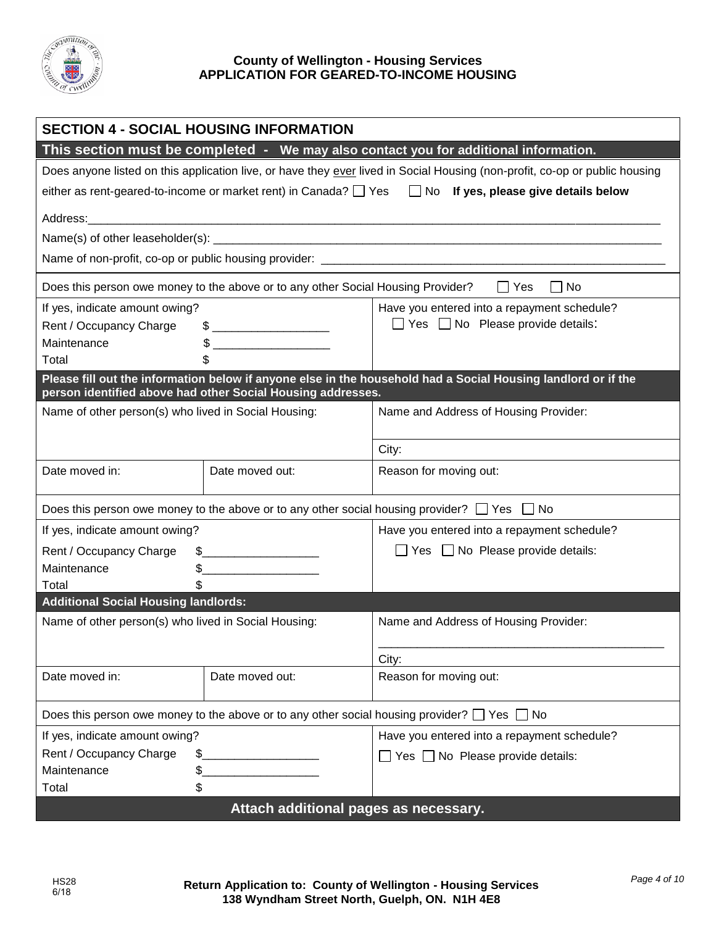

|                                                                                                             | <b>SECTION 4 - SOCIAL HOUSING INFORMATION</b>                                                                                                                                                                                                                                                                                                                       |                                                                                                                             |  |  |  |
|-------------------------------------------------------------------------------------------------------------|---------------------------------------------------------------------------------------------------------------------------------------------------------------------------------------------------------------------------------------------------------------------------------------------------------------------------------------------------------------------|-----------------------------------------------------------------------------------------------------------------------------|--|--|--|
| This section must be completed - We may also contact you for additional information.                        |                                                                                                                                                                                                                                                                                                                                                                     |                                                                                                                             |  |  |  |
|                                                                                                             |                                                                                                                                                                                                                                                                                                                                                                     | Does anyone listed on this application live, or have they ever lived in Social Housing (non-profit, co-op or public housing |  |  |  |
|                                                                                                             |                                                                                                                                                                                                                                                                                                                                                                     | either as rent-geared-to-income or market rent) in Canada? $\Box$ Yes $\Box$ No If yes, please give details below           |  |  |  |
|                                                                                                             |                                                                                                                                                                                                                                                                                                                                                                     |                                                                                                                             |  |  |  |
|                                                                                                             |                                                                                                                                                                                                                                                                                                                                                                     |                                                                                                                             |  |  |  |
|                                                                                                             |                                                                                                                                                                                                                                                                                                                                                                     |                                                                                                                             |  |  |  |
|                                                                                                             |                                                                                                                                                                                                                                                                                                                                                                     |                                                                                                                             |  |  |  |
|                                                                                                             | Does this person owe money to the above or to any other Social Housing Provider?                                                                                                                                                                                                                                                                                    | $\Box$ No<br>$\Box$ Yes                                                                                                     |  |  |  |
| If yes, indicate amount owing?                                                                              |                                                                                                                                                                                                                                                                                                                                                                     | Have you entered into a repayment schedule?                                                                                 |  |  |  |
| Rent / Occupancy Charge                                                                                     | $\frac{1}{2}$ $\frac{1}{2}$ $\frac{1}{2}$ $\frac{1}{2}$ $\frac{1}{2}$ $\frac{1}{2}$ $\frac{1}{2}$ $\frac{1}{2}$ $\frac{1}{2}$ $\frac{1}{2}$ $\frac{1}{2}$ $\frac{1}{2}$ $\frac{1}{2}$ $\frac{1}{2}$ $\frac{1}{2}$ $\frac{1}{2}$ $\frac{1}{2}$ $\frac{1}{2}$ $\frac{1}{2}$ $\frac{1}{2}$ $\frac{1}{2}$ $\frac{1}{2}$                                                 | $\Box$ Yes $\Box$ No Please provide details:                                                                                |  |  |  |
| Maintenance                                                                                                 | $\begin{picture}(20,10) \put(0,0){\vector(1,0){100}} \put(15,0){\vector(1,0){100}} \put(15,0){\vector(1,0){100}} \put(15,0){\vector(1,0){100}} \put(15,0){\vector(1,0){100}} \put(15,0){\vector(1,0){100}} \put(15,0){\vector(1,0){100}} \put(15,0){\vector(1,0){100}} \put(15,0){\vector(1,0){100}} \put(15,0){\vector(1,0){100}} \put(15,0){\vector(1,0){100}} \$ |                                                                                                                             |  |  |  |
| Total                                                                                                       |                                                                                                                                                                                                                                                                                                                                                                     |                                                                                                                             |  |  |  |
|                                                                                                             | person identified above had other Social Housing addresses.                                                                                                                                                                                                                                                                                                         | Please fill out the information below if anyone else in the household had a Social Housing landlord or if the               |  |  |  |
| Name of other person(s) who lived in Social Housing:                                                        |                                                                                                                                                                                                                                                                                                                                                                     | Name and Address of Housing Provider:                                                                                       |  |  |  |
|                                                                                                             |                                                                                                                                                                                                                                                                                                                                                                     |                                                                                                                             |  |  |  |
|                                                                                                             |                                                                                                                                                                                                                                                                                                                                                                     | City:                                                                                                                       |  |  |  |
| Date moved in:                                                                                              | Date moved out:                                                                                                                                                                                                                                                                                                                                                     | Reason for moving out:                                                                                                      |  |  |  |
|                                                                                                             |                                                                                                                                                                                                                                                                                                                                                                     |                                                                                                                             |  |  |  |
|                                                                                                             | Does this person owe money to the above or to any other social housing provider? $\Box$ Yes $\Box$ No                                                                                                                                                                                                                                                               |                                                                                                                             |  |  |  |
| If yes, indicate amount owing?                                                                              |                                                                                                                                                                                                                                                                                                                                                                     | Have you entered into a repayment schedule?                                                                                 |  |  |  |
| Rent / Occupancy Charge<br>$\frac{1}{2}$                                                                    |                                                                                                                                                                                                                                                                                                                                                                     | $\Box$ Yes $\Box$ No Please provide details:                                                                                |  |  |  |
| Maintenance                                                                                                 | \$_                                                                                                                                                                                                                                                                                                                                                                 |                                                                                                                             |  |  |  |
| Total<br>\$                                                                                                 |                                                                                                                                                                                                                                                                                                                                                                     |                                                                                                                             |  |  |  |
| <b>Additional Social Housing landlords:</b>                                                                 |                                                                                                                                                                                                                                                                                                                                                                     |                                                                                                                             |  |  |  |
| Name of other person(s) who lived in Social Housing:                                                        |                                                                                                                                                                                                                                                                                                                                                                     | Name and Address of Housing Provider:                                                                                       |  |  |  |
|                                                                                                             |                                                                                                                                                                                                                                                                                                                                                                     |                                                                                                                             |  |  |  |
|                                                                                                             |                                                                                                                                                                                                                                                                                                                                                                     | City:                                                                                                                       |  |  |  |
| Date moved in:                                                                                              | Date moved out:                                                                                                                                                                                                                                                                                                                                                     | Reason for moving out:                                                                                                      |  |  |  |
| Does this person owe money to the above or to any other social housing provider? $\square$ Yes $\square$ No |                                                                                                                                                                                                                                                                                                                                                                     |                                                                                                                             |  |  |  |
| If yes, indicate amount owing?                                                                              |                                                                                                                                                                                                                                                                                                                                                                     | Have you entered into a repayment schedule?                                                                                 |  |  |  |
| Rent / Occupancy Charge<br>\$                                                                               |                                                                                                                                                                                                                                                                                                                                                                     | $\Box$ Yes $\Box$ No Please provide details:                                                                                |  |  |  |
| Maintenance<br>\$.                                                                                          |                                                                                                                                                                                                                                                                                                                                                                     |                                                                                                                             |  |  |  |
| \$<br>Total                                                                                                 |                                                                                                                                                                                                                                                                                                                                                                     |                                                                                                                             |  |  |  |
| Attach additional pages as necessary.                                                                       |                                                                                                                                                                                                                                                                                                                                                                     |                                                                                                                             |  |  |  |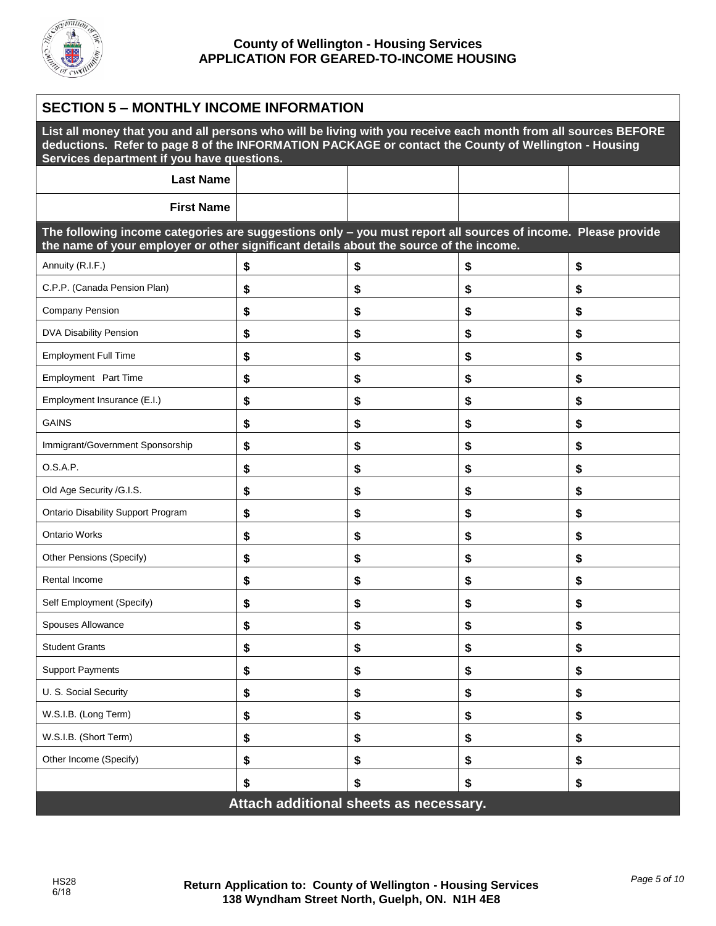

| <b>SECTION 5 - MONTHLY INCOME INFORMATION</b>                                                                                                                                                                                                                        |    |    |    |    |
|----------------------------------------------------------------------------------------------------------------------------------------------------------------------------------------------------------------------------------------------------------------------|----|----|----|----|
| List all money that you and all persons who will be living with you receive each month from all sources BEFORE<br>deductions. Refer to page 8 of the INFORMATION PACKAGE or contact the County of Wellington - Housing<br>Services department if you have questions. |    |    |    |    |
| <b>Last Name</b>                                                                                                                                                                                                                                                     |    |    |    |    |
| <b>First Name</b>                                                                                                                                                                                                                                                    |    |    |    |    |
| The following income categories are suggestions only - you must report all sources of income. Please provide<br>the name of your employer or other significant details about the source of the income.                                                               |    |    |    |    |
| Annuity (R.I.F.)                                                                                                                                                                                                                                                     | \$ | \$ | \$ | \$ |
| C.P.P. (Canada Pension Plan)                                                                                                                                                                                                                                         | \$ | \$ | \$ | \$ |
| <b>Company Pension</b>                                                                                                                                                                                                                                               | \$ | \$ | \$ | \$ |
| DVA Disability Pension                                                                                                                                                                                                                                               | \$ | \$ | \$ | \$ |
| <b>Employment Full Time</b>                                                                                                                                                                                                                                          | \$ | \$ | \$ | \$ |
| Employment Part Time                                                                                                                                                                                                                                                 | \$ | \$ | \$ | \$ |
| Employment Insurance (E.I.)                                                                                                                                                                                                                                          | \$ | \$ | \$ | \$ |
| <b>GAINS</b>                                                                                                                                                                                                                                                         | \$ | \$ | \$ | \$ |
| Immigrant/Government Sponsorship                                                                                                                                                                                                                                     | \$ | \$ | \$ | \$ |
| O.S.A.P.                                                                                                                                                                                                                                                             | \$ | \$ | \$ | \$ |
| Old Age Security /G.I.S.                                                                                                                                                                                                                                             | \$ | \$ | \$ | \$ |
| <b>Ontario Disability Support Program</b>                                                                                                                                                                                                                            | \$ | \$ | \$ | \$ |
| <b>Ontario Works</b>                                                                                                                                                                                                                                                 | \$ | \$ | \$ | \$ |
| Other Pensions (Specify)                                                                                                                                                                                                                                             | \$ | \$ | \$ | \$ |
| Rental Income                                                                                                                                                                                                                                                        | \$ | \$ | \$ | \$ |
| Self Employment (Specify)                                                                                                                                                                                                                                            | \$ | \$ | \$ | \$ |
| Spouses Allowance                                                                                                                                                                                                                                                    | \$ | \$ | \$ | \$ |
| <b>Student Grants</b>                                                                                                                                                                                                                                                | \$ | \$ | \$ | \$ |
| <b>Support Payments</b>                                                                                                                                                                                                                                              | \$ | \$ | \$ | \$ |
| U. S. Social Security                                                                                                                                                                                                                                                | \$ | \$ | \$ | \$ |
| W.S.I.B. (Long Term)                                                                                                                                                                                                                                                 | \$ | \$ | \$ | \$ |
| W.S.I.B. (Short Term)                                                                                                                                                                                                                                                | \$ | \$ | \$ | \$ |
| Other Income (Specify)                                                                                                                                                                                                                                               | \$ | \$ | \$ | \$ |
|                                                                                                                                                                                                                                                                      | \$ | \$ | \$ | \$ |
| Attach additional sheets as necessary.                                                                                                                                                                                                                               |    |    |    |    |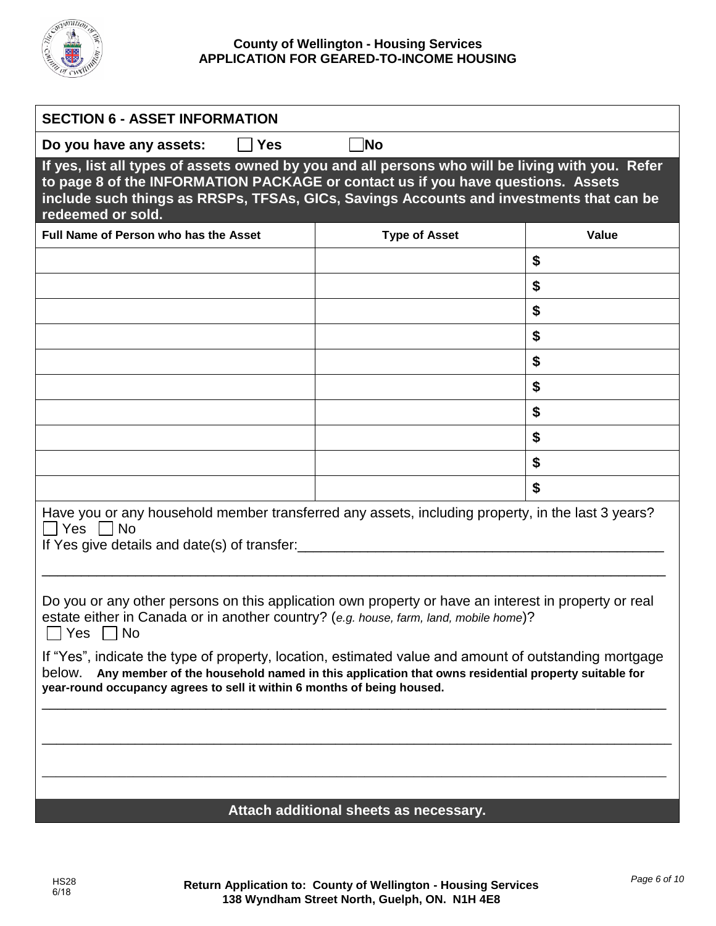

## **County of Wellington - Housing Services APPLICATION FOR GEARED-TO-INCOME HOUSING**

| <b>SECTION 6 - ASSET INFORMATION</b>                                                                                                                                                                                                                                                                 |                                        |       |  |  |
|------------------------------------------------------------------------------------------------------------------------------------------------------------------------------------------------------------------------------------------------------------------------------------------------------|----------------------------------------|-------|--|--|
| Do you have any assets:<br><b>Yes</b>                                                                                                                                                                                                                                                                | <b>No</b>                              |       |  |  |
| If yes, list all types of assets owned by you and all persons who will be living with you. Refer<br>to page 8 of the INFORMATION PACKAGE or contact us if you have questions. Assets<br>include such things as RRSPs, TFSAs, GICs, Savings Accounts and investments that can be<br>redeemed or sold. |                                        |       |  |  |
| Full Name of Person who has the Asset                                                                                                                                                                                                                                                                | <b>Type of Asset</b>                   | Value |  |  |
|                                                                                                                                                                                                                                                                                                      |                                        | \$    |  |  |
|                                                                                                                                                                                                                                                                                                      |                                        | \$    |  |  |
|                                                                                                                                                                                                                                                                                                      |                                        | \$    |  |  |
|                                                                                                                                                                                                                                                                                                      |                                        | \$    |  |  |
|                                                                                                                                                                                                                                                                                                      |                                        | \$    |  |  |
|                                                                                                                                                                                                                                                                                                      |                                        | \$    |  |  |
|                                                                                                                                                                                                                                                                                                      |                                        | \$    |  |  |
|                                                                                                                                                                                                                                                                                                      |                                        | \$    |  |  |
|                                                                                                                                                                                                                                                                                                      |                                        | \$    |  |  |
|                                                                                                                                                                                                                                                                                                      |                                        | \$    |  |  |
| Have you or any household member transferred any assets, including property, in the last 3 years?<br>□ Yes □ No<br>If Yes give details and date(s) of transfer:                                                                                                                                      |                                        |       |  |  |
| Do you or any other persons on this application own property or have an interest in property or real<br>estate either in Canada or in another country? (e.g. house, farm, land, mobile home)?<br><b>No</b><br>Yes                                                                                    |                                        |       |  |  |
| If "Yes", indicate the type of property, location, estimated value and amount of outstanding mortgage<br>Any member of the household named in this application that owns residential property suitable for<br>below.<br>year-round occupancy agrees to sell it within 6 months of being housed.      |                                        |       |  |  |
|                                                                                                                                                                                                                                                                                                      |                                        |       |  |  |
|                                                                                                                                                                                                                                                                                                      |                                        |       |  |  |
|                                                                                                                                                                                                                                                                                                      |                                        |       |  |  |
|                                                                                                                                                                                                                                                                                                      | Attach additional sheets as necessary. |       |  |  |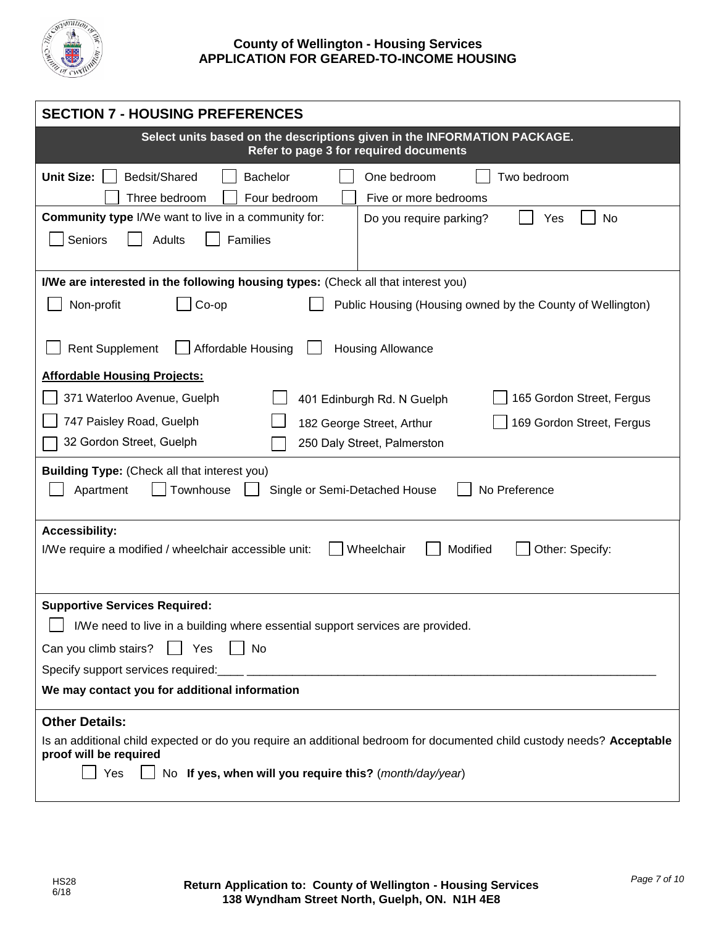

| <b>SECTION 7 - HOUSING PREFERENCES</b>                                                                                                                                                                                                                    |  |  |  |  |
|-----------------------------------------------------------------------------------------------------------------------------------------------------------------------------------------------------------------------------------------------------------|--|--|--|--|
| Select units based on the descriptions given in the INFORMATION PACKAGE.<br>Refer to page 3 for required documents                                                                                                                                        |  |  |  |  |
| <b>Unit Size:</b><br>Bedsit/Shared<br><b>Bachelor</b><br>One bedroom<br>Two bedroom<br>Three bedroom<br>Four bedroom<br>Five or more bedrooms                                                                                                             |  |  |  |  |
| <b>Community type I/We want to live in a community for:</b><br>No<br>Do you require parking?<br>Yes<br>Seniors<br><b>Adults</b><br>Families                                                                                                               |  |  |  |  |
| I/We are interested in the following housing types: (Check all that interest you)<br>Non-profit<br>Public Housing (Housing owned by the County of Wellington)<br>Co-op                                                                                    |  |  |  |  |
| <b>Rent Supplement</b><br>Affordable Housing<br><b>Housing Allowance</b><br><b>Affordable Housing Projects:</b>                                                                                                                                           |  |  |  |  |
| 371 Waterloo Avenue, Guelph<br>165 Gordon Street, Fergus<br>401 Edinburgh Rd. N Guelph<br>747 Paisley Road, Guelph<br>182 George Street, Arthur<br>169 Gordon Street, Fergus<br>32 Gordon Street, Guelph<br>250 Daly Street, Palmerston                   |  |  |  |  |
| <b>Building Type:</b> (Check all that interest you)<br>Townhouse<br>Apartment<br>Single or Semi-Detached House<br>No Preference                                                                                                                           |  |  |  |  |
| <b>Accessibility:</b><br>Wheelchair<br>Modified<br>Other: Specify:<br>I/We require a modified / wheelchair accessible unit:                                                                                                                               |  |  |  |  |
| <b>Supportive Services Required:</b><br>I/We need to live in a building where essential support services are provided.<br>  Yes<br>Can you climb stairs?<br>    No<br>Specify support services required:<br>We may contact you for additional information |  |  |  |  |
| <b>Other Details:</b><br>Is an additional child expected or do you require an additional bedroom for documented child custody needs? Acceptable<br>proof will be required<br>No If yes, when will you require this? (month/day/year)<br>Yes               |  |  |  |  |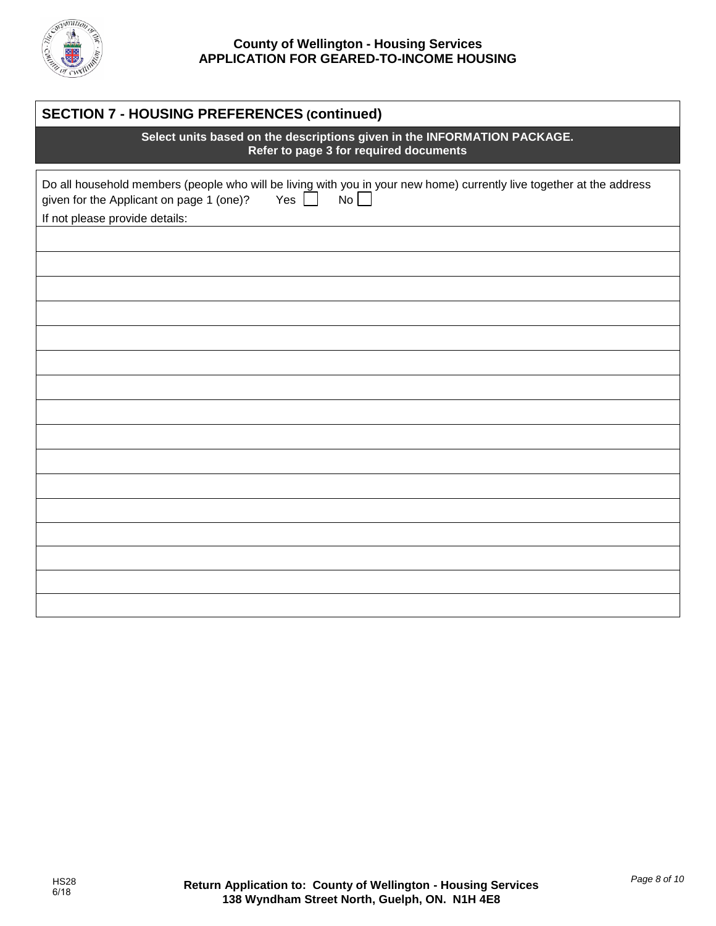

# **County of Wellington - Housing Services APPLICATION FOR GEARED-TO-INCOME HOUSING**

| <b>SECTION 7 - HOUSING PREFERENCES (continued)</b>                                                                                                                                                                      |  |  |  |
|-------------------------------------------------------------------------------------------------------------------------------------------------------------------------------------------------------------------------|--|--|--|
| Select units based on the descriptions given in the INFORMATION PACKAGE.<br>Refer to page 3 for required documents                                                                                                      |  |  |  |
| Do all household members (people who will be living with you in your new home) currently live together at the address<br>Yes $\Box$<br>No<br>given for the Applicant on page 1 (one)?<br>If not please provide details: |  |  |  |
|                                                                                                                                                                                                                         |  |  |  |
|                                                                                                                                                                                                                         |  |  |  |
|                                                                                                                                                                                                                         |  |  |  |
|                                                                                                                                                                                                                         |  |  |  |
|                                                                                                                                                                                                                         |  |  |  |
|                                                                                                                                                                                                                         |  |  |  |
|                                                                                                                                                                                                                         |  |  |  |
|                                                                                                                                                                                                                         |  |  |  |
|                                                                                                                                                                                                                         |  |  |  |
|                                                                                                                                                                                                                         |  |  |  |
|                                                                                                                                                                                                                         |  |  |  |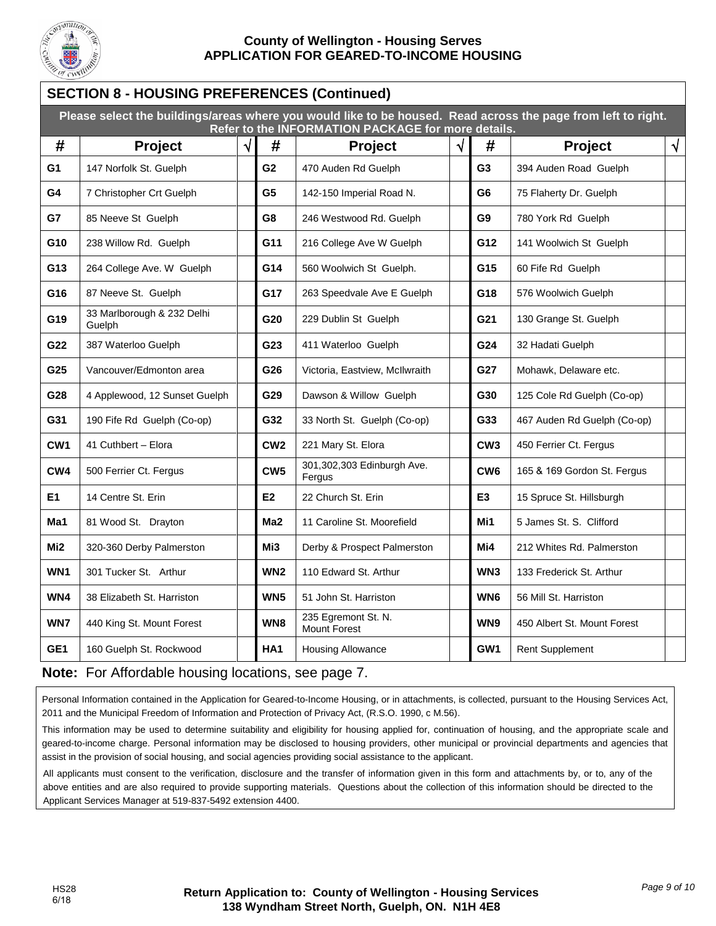

# **County of Wellington - Housing Serves APPLICATION FOR GEARED-TO-INCOME HOUSING**

# **SECTION 8 - HOUSING PREFERENCES (Continued) Please select the buildings/areas where you would like to be housed. Read across the page from left to right. Refer to the INFORMATION PACKAGE for more details. # Project # Project # Project G1** 147 Norfolk St. Guelph **G2** 470 Auden Rd Guelph **G3** 394 Auden Road Guelph **G4** 7 Christopher Crt Guelph **G5** 142-150 Imperial Road N. **G6** 75 Flaherty Dr. Guelph **G7** 85 Neeve St Guelph **G8** 246 Westwood Rd. Guelph **G9** 780 York Rd Guelph **G10** 238 Willow Rd. Guelph **G11** 216 College Ave W Guelph **G12** 141 Woolwich St Guelph **G13** 264 College Ave. W Guelph **G14** 560 Woolwich St Guelph. **G15** 60 Fife Rd Guelph **G16** 87 Neeve St. Guelph **G17 G17** 263 Speedvale Ave E Guelph **G18** 576 Woolwich Guelph **G19** 33 Marlborough & 232 Delhi<br>Guelph G20 229 Dublin St Guelph **G21** | 130 Grange St. Guelph **G22** 387 Waterloo Guelph **G23** 411 Waterloo Guelph **G24** 32 Hadati Guelph G25 Vancouver/Edmonton area **G26** Victoria, Eastview, McIlwraith **G27** Mohawk, Delaware etc. **G28** 4 Applewood, 12 Sunset Guelph **G29** Dawson & Willow Guelph **G30** 125 Cole Rd Guelph (Co-op) **G31** 190 Fife Rd Guelph (Co-op) **G32** 33 North St. Guelph (Co-op) **G33** 467 Auden Rd Guelph (Co-op) **CW1** 41 Cuthbert – Elora **CW2 CW2** 221 Mary St. Elora **CW3 CW3** 450 Ferrier Ct. Fergus **CW4** 500 Ferrier Ct. Fergus **CW5 CW5** Fergus **CW5 CW5 Edinburgh Ave. CW6** | 165 & 169 Gordon St. Fergus **E1** 14 Centre St. Erin **E2** 22 Church St. Erin **E3** 15 Spruce St. Hillsburgh **Ma1** 81 Wood St. Drayton **Ma2** 11 Caroline St. Moorefield **Mi1** 5 James St. S. Clifford **Mi2** 320-360 Derby Palmerston **Mi3** Derby & Prospect Palmerston **Mi4** 212 Whites Rd. Palmerston WN1 301 Tucker St. Arthur **WN2** 110 Edward St. Arthur **WN3** 133 Frederick St. Arthur WN4 38 Elizabeth St. Harriston **WW5** 51 John St. Harriston **WN6** 56 Mill St. Harriston WN7 440 King St. Mount Forest **WN8**  $\begin{array}{|c|c|c|c|c|}\n\hline\n\textbf{WNB} & \textbf{235 E} \end{array}$  Egremont St. N. **WN9** 450 Albert St. Mount Forest **GE1** | 160 Guelph St. Rockwood | | | **HA1** | Housing Allowance | | | | | GW1 | Rent Supplement

# **Note:** For Affordable housing locations, see page 7.

Personal Information contained in the Application for Geared-to-Income Housing, or in attachments, is collected, pursuant to the Housing Services Act, 2011 and the Municipal Freedom of Information and Protection of Privacy Act, (R.S.O. 1990, c M.56).

This information may be used to determine suitability and eligibility for housing applied for, continuation of housing, and the appropriate scale and geared-to-income charge. Personal information may be disclosed to housing providers, other municipal or provincial departments and agencies that assist in the provision of social housing, and social agencies providing social assistance to the applicant.

All applicants must consent to the verification, disclosure and the transfer of information given in this form and attachments by, or to, any of the above entities and are also required to provide supporting materials. Questions about the collection of this information should be directed to the Applicant Services Manager at 519-837-5492 extension 4400.